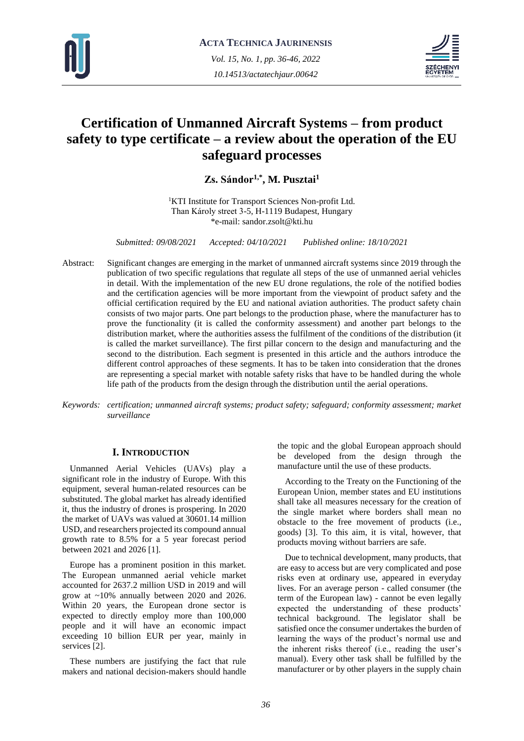



# **Certification of Unmanned Aircraft Systems – from product safety to type certificate – a review about the operation of the EU safeguard processes**

**Zs. Sándor1,\* , M. Pusztai<sup>1</sup>**

<sup>1</sup>KTI Institute for Transport Sciences Non-profit Ltd. Than Károly street 3-5, H-1119 Budapest, Hungary \*e-mail: sandor.zsolt@kti.hu

*Submitted: 09/08/2021 Accepted: 04/10/2021 Published online: 18/10/2021*

- Abstract: Significant changes are emerging in the market of unmanned aircraft systems since 2019 through the publication of two specific regulations that regulate all steps of the use of unmanned aerial vehicles in detail. With the implementation of the new EU drone regulations, the role of the notified bodies and the certification agencies will be more important from the viewpoint of product safety and the official certification required by the EU and national aviation authorities. The product safety chain consists of two major parts. One part belongs to the production phase, where the manufacturer has to prove the functionality (it is called the conformity assessment) and another part belongs to the distribution market, where the authorities assess the fulfilment of the conditions of the distribution (it is called the market surveillance). The first pillar concern to the design and manufacturing and the second to the distribution. Each segment is presented in this article and the authors introduce the different control approaches of these segments. It has to be taken into consideration that the drones are representing a special market with notable safety risks that have to be handled during the whole life path of the products from the design through the distribution until the aerial operations.
- *Keywords: certification; unmanned aircraft systems; product safety; safeguard; conformity assessment; market surveillance*

## **I. INTRODUCTION**

Unmanned Aerial Vehicles (UAVs) play a significant role in the industry of Europe. With this equipment, several human-related resources can be substituted. The global market has already identified it, thus the industry of drones is prospering. In 2020 the market of UAVs was valued at 30601.14 million USD, and researchers projected its compound annual growth rate to 8.5% for a 5 year forecast period between 2021 and 2026 [1].

Europe has a prominent position in this market. The European unmanned aerial vehicle market accounted for 2637.2 million USD in 2019 and will grow at ~10% annually between 2020 and 2026. Within 20 years, the European drone sector is expected to directly employ more than 100,000 people and it will have an economic impact exceeding 10 billion EUR per year, mainly in services [2].

These numbers are justifying the fact that rule makers and national decision-makers should handle the topic and the global European approach should be developed from the design through the manufacture until the use of these products.

According to the Treaty on the Functioning of the European Union, member states and EU institutions shall take all measures necessary for the creation of the single market where borders shall mean no obstacle to the free movement of products (i.e., goods) [3]. To this aim, it is vital, however, that products moving without barriers are safe.

Due to technical development, many products, that are easy to access but are very complicated and pose risks even at ordinary use, appeared in everyday lives. For an average person - called consumer (the term of the European law) - cannot be even legally expected the understanding of these products' technical background. The legislator shall be satisfied once the consumer undertakes the burden of learning the ways of the product's normal use and the inherent risks thereof (i.e., reading the user's manual). Every other task shall be fulfilled by the manufacturer or by other players in the supply chain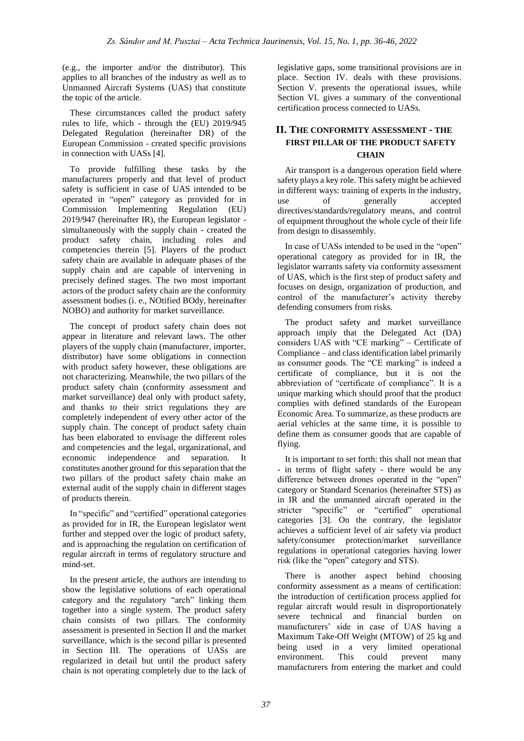(e.g., the importer and/or the distributor). This applies to all branches of the industry as well as to Unmanned Aircraft Systems (UAS) that constitute the topic of the article.

These circumstances called the product safety rules to life, which - through the (EU) 2019/945 Delegated Regulation (hereinafter DR) of the European Commission - created specific provisions in connection with UASs [4].

To provide fulfilling these tasks by the manufacturers properly and that level of product safety is sufficient in case of UAS intended to be operated in "open" category as provided for in Commission Implementing Regulation (EU) 2019/947 (hereinafter IR), the European legislator simultaneously with the supply chain - created the product safety chain, including roles and competencies therein [5]. Players of the product safety chain are available in adequate phases of the supply chain and are capable of intervening in precisely defined stages. The two most important actors of the product safety chain are the conformity assessment bodies (i. e., NOtified BOdy, hereinafter NOBO) and authority for market surveillance.

The concept of product safety chain does not appear in literature and relevant laws. The other players of the supply chain (manufacturer, importer, distributor) have some obligations in connection with product safety however, these obligations are not characterizing. Meanwhile, the two pillars of the product safety chain (conformity assessment and market surveillance) deal only with product safety, and thanks to their strict regulations they are completely independent of every other actor of the supply chain. The concept of product safety chain has been elaborated to envisage the different roles and competencies and the legal, organizational, and economic independence and separation. It constitutes another ground for this separation that the two pillars of the product safety chain make an external audit of the supply chain in different stages of products therein.

In "specific" and "certified" operational categories as provided for in IR, the European legislator went further and stepped over the logic of product safety, and is approaching the regulation on certification of regular aircraft in terms of regulatory structure and mind-set.

In the present article, the authors are intending to show the legislative solutions of each operational category and the regulatory "arch" linking them together into a single system. The product safety chain consists of two pillars. The conformity assessment is presented in Section II and the market surveillance, which is the second pillar is presented in Section III. The operations of UASs are regularized in detail but until the product safety chain is not operating completely due to the lack of

legislative gaps, some transitional provisions are in place. Section IV. deals with these provisions. Section V. presents the operational issues, while Section VI. gives a summary of the conventional certification process connected to UASs.

# **II. THE CONFORMITY ASSESSMENT - THE FIRST PILLAR OF THE PRODUCT SAFETY CHAIN**

Air transport is a dangerous operation field where safety plays a key role. This safety might be achieved in different ways: training of experts in the industry, use of generally accepted directives/standards/regulatory means, and control of equipment throughout the whole cycle of their life from design to disassembly.

In case of UASs intended to be used in the "open" operational category as provided for in IR, the legislator warrants safety via conformity assessment of UAS, which is the first step of product safety and focuses on design, organization of production, and control of the manufacturer's activity thereby defending consumers from risks.

The product safety and market surveillance approach imply that the Delegated Act (DA) considers UAS with "CE marking" – Certificate of Compliance – and class identification label primarily as consumer goods. The "CE marking" is indeed a certificate of compliance, but it is not the abbreviation of "certificate of compliance". It is a unique marking which should proof that the product complies with defined standards of the European Economic Area. To summarize, as these products are aerial vehicles at the same time, it is possible to define them as consumer goods that are capable of flying.

It is important to set forth: this shall not mean that - in terms of flight safety - there would be any difference between drones operated in the "open" category or Standard Scenarios (hereinafter STS) as in IR and the unmanned aircraft operated in the stricter "specific" or "certified" operational categories [3]. On the contrary, the legislator achieves a sufficient level of air safety via product safety/consumer protection/market surveillance regulations in operational categories having lower risk (like the "open" category and STS).

There is another aspect behind choosing conformity assessment as a means of certification: the introduction of certification process applied for regular aircraft would result in disproportionately severe technical and financial burden on manufacturers' side in case of UAS having a Maximum Take-Off Weight (MTOW) of 25 kg and being used in a very limited operational environment. This could prevent many manufacturers from entering the market and could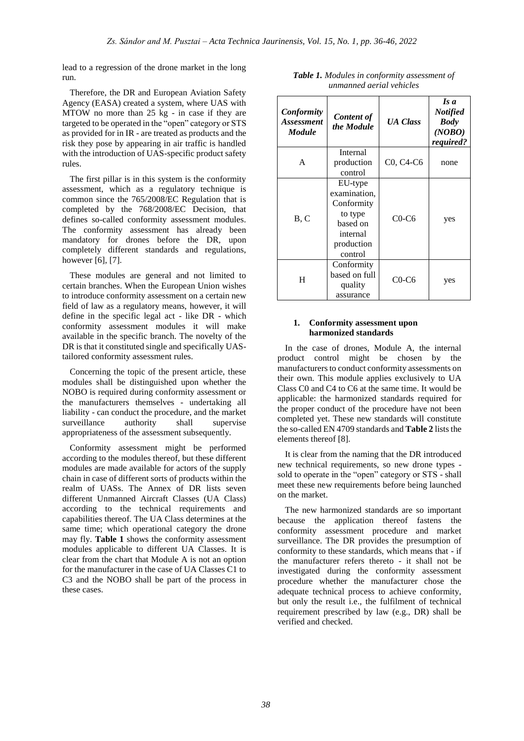lead to a regression of the drone market in the long run.

Therefore, the DR and European Aviation Safety Agency (EASA) created a system, where UAS with MTOW no more than 25 kg - in case if they are targeted to be operated in the "open" category or STS as provided for in IR - are treated as products and the risk they pose by appearing in air traffic is handled with the introduction of UAS-specific product safety rules.

The first pillar is in this system is the conformity assessment, which as a regulatory technique is common since the 765/2008/EC Regulation that is completed by the 768/2008/EC Decision, that defines so-called conformity assessment modules. The conformity assessment has already been mandatory for drones before the DR, upon completely different standards and regulations, however [6], [7].

These modules are general and not limited to certain branches. When the European Union wishes to introduce conformity assessment on a certain new field of law as a regulatory means, however, it will define in the specific legal act - like DR - which conformity assessment modules it will make available in the specific branch. The novelty of the DR is that it constituted single and specifically UAStailored conformity assessment rules.

Concerning the topic of the present article, these modules shall be distinguished upon whether the NOBO is required during conformity assessment or the manufacturers themselves - undertaking all liability - can conduct the procedure, and the market surveillance authority shall supervise appropriateness of the assessment subsequently.

Conformity assessment might be performed according to the modules thereof, but these different modules are made available for actors of the supply chain in case of different sorts of products within the realm of UASs. The Annex of DR lists seven different Unmanned Aircraft Classes (UA Class) according to the technical requirements and capabilities thereof. The UA Class determines at the same time; which operational category the drone may fly. **Table 1** shows the conformity assessment modules applicable to different UA Classes. It is clear from the chart that Module A is not an option for the manufacturer in the case of UA Classes C1 to C3 and the NOBO shall be part of the process in these cases.

| Conformity<br><b>Assessment</b><br><b>Module</b> | <b>Content of</b><br>the Module                                                                   | <b>UA Class</b> | Is a<br><b>Notified</b><br><b>Body</b><br>(NOBO)<br>required? |
|--------------------------------------------------|---------------------------------------------------------------------------------------------------|-----------------|---------------------------------------------------------------|
| A                                                | Internal<br>production<br>control                                                                 | C0, C4-C6       | none                                                          |
| B, C                                             | EU-type<br>examination,<br>Conformity<br>to type<br>based on<br>internal<br>production<br>control | $C0-C6$         | yes                                                           |
| H                                                | Conformity<br>based on full<br>quality<br>assurance                                               | $C0-C6$         | yes                                                           |

*Table 1. Modules in conformity assessment of unmanned aerial vehicles*

## **1. Conformity assessment upon harmonized standards**

In the case of drones, Module A, the internal product control might be chosen by the manufacturers to conduct conformity assessments on their own. This module applies exclusively to UA Class C0 and C4 to C6 at the same time. It would be applicable: the harmonized standards required for the proper conduct of the procedure have not been completed yet. These new standards will constitute the so-called EN 4709 standards and **Table 2** lists the elements thereof [8].

It is clear from the naming that the DR introduced new technical requirements, so new drone types sold to operate in the "open" category or STS - shall meet these new requirements before being launched on the market.

The new harmonized standards are so important because the application thereof fastens the conformity assessment procedure and market surveillance. The DR provides the presumption of conformity to these standards, which means that - if the manufacturer refers thereto - it shall not be investigated during the conformity assessment procedure whether the manufacturer chose the adequate technical process to achieve conformity, but only the result i.e., the fulfilment of technical requirement prescribed by law (e.g., DR) shall be verified and checked.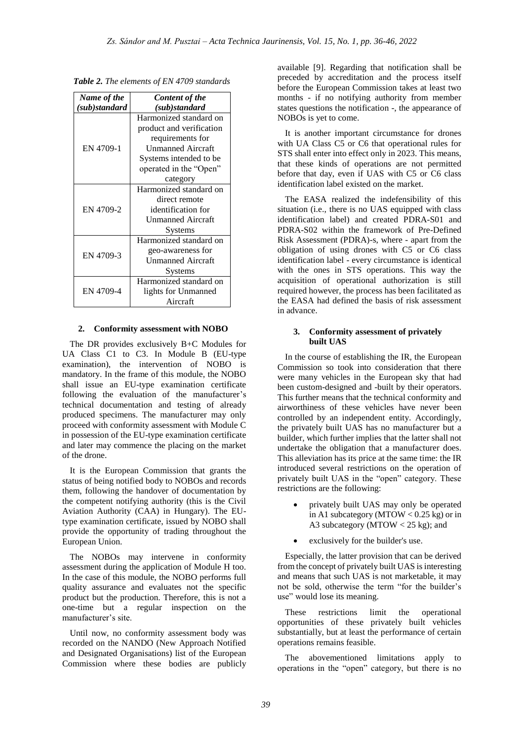| Name of the   | <b>Content of the</b>    |  |
|---------------|--------------------------|--|
| (sub)standard | (sub)standard            |  |
|               | Harmonized standard on   |  |
|               | product and verification |  |
|               | requirements for         |  |
| EN 4709-1     | <b>Unmanned Aircraft</b> |  |
|               | Systems intended to be.  |  |
|               | operated in the "Open"   |  |
|               | category                 |  |
|               | Harmonized standard on   |  |
|               | direct remote            |  |
| EN 4709-2     | identification for       |  |
|               | <b>Unmanned Aircraft</b> |  |
|               | Systems                  |  |
|               | Harmonized standard on   |  |
| EN 4709-3     | geo-awareness for        |  |
|               | Unmanned Aircraft        |  |
|               | Systems                  |  |
|               | Harmonized standard on   |  |
| EN 4709-4     | lights for Unmanned      |  |
|               | Aircraft                 |  |

*Table 2. The elements of EN 4709 standards*

#### **2. Conformity assessment with NOBO**

The DR provides exclusively B+C Modules for UA Class C1 to C3. In Module B (EU-type examination), the intervention of NOBO is mandatory. In the frame of this module, the NOBO shall issue an EU-type examination certificate following the evaluation of the manufacturer's technical documentation and testing of already produced specimens. The manufacturer may only proceed with conformity assessment with Module C in possession of the EU-type examination certificate and later may commence the placing on the market of the drone.

It is the European Commission that grants the status of being notified body to NOBOs and records them, following the handover of documentation by the competent notifying authority (this is the Civil Aviation Authority (CAA) in Hungary). The EUtype examination certificate, issued by NOBO shall provide the opportunity of trading throughout the European Union.

The NOBOs may intervene in conformity assessment during the application of Module H too. In the case of this module, the NOBO performs full quality assurance and evaluates not the specific product but the production. Therefore, this is not a one-time but a regular inspection on the manufacturer's site.

Until now, no conformity assessment body was recorded on the NANDO (New Approach Notified and Designated Organisations) list of the European Commission where these bodies are publicly

available [9]. Regarding that notification shall be preceded by accreditation and the process itself before the European Commission takes at least two months - if no notifying authority from member states questions the notification -, the appearance of NOBOs is yet to come.

It is another important circumstance for drones with UA Class C5 or C6 that operational rules for STS shall enter into effect only in 2023. This means, that these kinds of operations are not permitted before that day, even if UAS with C5 or C6 class identification label existed on the market.

The EASA realized the indefensibility of this situation (i.e., there is no UAS equipped with class identification label) and created PDRA-S01 and PDRA-S02 within the framework of Pre-Defined Risk Assessment (PDRA)-s, where - apart from the obligation of using drones with C5 or C6 class identification label - every circumstance is identical with the ones in STS operations. This way the acquisition of operational authorization is still required however, the process has been facilitated as the EASA had defined the basis of risk assessment in advance.

#### **3. Conformity assessment of privately built UAS**

In the course of establishing the IR, the European Commission so took into consideration that there were many vehicles in the European sky that had been custom-designed and -built by their operators. This further means that the technical conformity and airworthiness of these vehicles have never been controlled by an independent entity. Accordingly, the privately built UAS has no manufacturer but a builder, which further implies that the latter shall not undertake the obligation that a manufacturer does. This alleviation has its price at the same time: the IR introduced several restrictions on the operation of privately built UAS in the "open" category. These restrictions are the following:

- privately built UAS may only be operated in A1 subcategory (MTOW  $< 0.25$  kg) or in A3 subcategory (MTOW < 25 kg); and
- exclusively for the builder's use.

Especially, the latter provision that can be derived from the concept of privately built UAS is interesting and means that such UAS is not marketable, it may not be sold, otherwise the term "for the builder's use" would lose its meaning.

These restrictions limit the operational opportunities of these privately built vehicles substantially, but at least the performance of certain operations remains feasible.

The abovementioned limitations apply to operations in the "open" category, but there is no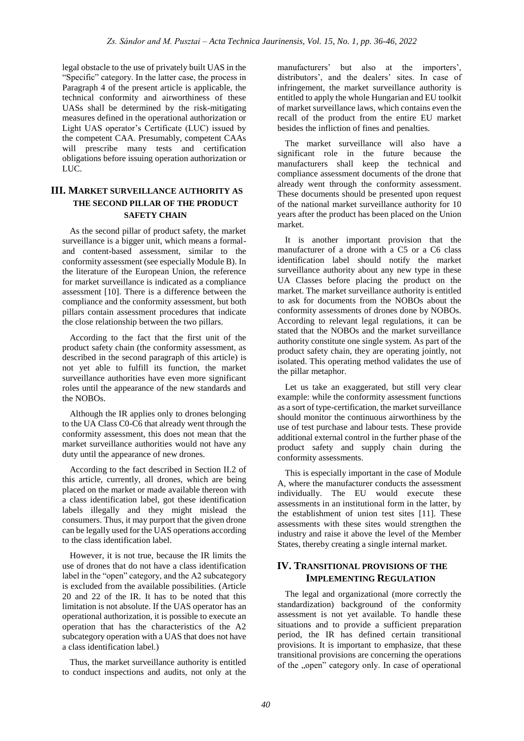legal obstacle to the use of privately built UAS in the "Specific" category. In the latter case, the process in Paragraph 4 of the present article is applicable, the technical conformity and airworthiness of these UASs shall be determined by the risk-mitigating measures defined in the operational authorization or Light UAS operator's Certificate (LUC) issued by the competent CAA. Presumably, competent CAAs will prescribe many tests and certification obligations before issuing operation authorization or LUC.

# **III. MARKET SURVEILLANCE AUTHORITY AS THE SECOND PILLAR OF THE PRODUCT SAFETY CHAIN**

As the second pillar of product safety, the market surveillance is a bigger unit, which means a formaland content-based assessment, similar to the conformity assessment (see especially Module B). In the literature of the European Union, the reference for market surveillance is indicated as a compliance assessment [10]. There is a difference between the compliance and the conformity assessment, but both pillars contain assessment procedures that indicate the close relationship between the two pillars.

According to the fact that the first unit of the product safety chain (the conformity assessment, as described in the second paragraph of this article) is not yet able to fulfill its function, the market surveillance authorities have even more significant roles until the appearance of the new standards and the NOBOs.

Although the IR applies only to drones belonging to the UA Class C0-C6 that already went through the conformity assessment, this does not mean that the market surveillance authorities would not have any duty until the appearance of new drones.

According to the fact described in Section II.2 of this article, currently, all drones, which are being placed on the market or made available thereon with a class identification label, got these identification labels illegally and they might mislead the consumers. Thus, it may purport that the given drone can be legally used for the UAS operations according to the class identification label.

However, it is not true, because the IR limits the use of drones that do not have a class identification label in the "open" category, and the A2 subcategory is excluded from the available possibilities. (Article 20 and 22 of the IR. It has to be noted that this limitation is not absolute. If the UAS operator has an operational authorization, it is possible to execute an operation that has the characteristics of the A2 subcategory operation with a UAS that does not have a class identification label.)

Thus, the market surveillance authority is entitled to conduct inspections and audits, not only at the

manufacturers' but also at the importers', distributors', and the dealers' sites. In case of infringement, the market surveillance authority is entitled to apply the whole Hungarian and EU toolkit of market surveillance laws, which contains even the recall of the product from the entire EU market besides the infliction of fines and penalties.

The market surveillance will also have a significant role in the future because the manufacturers shall keep the technical and compliance assessment documents of the drone that already went through the conformity assessment. These documents should be presented upon request of the national market surveillance authority for 10 years after the product has been placed on the Union market.

It is another important provision that the manufacturer of a drone with a C5 or a C6 class identification label should notify the market surveillance authority about any new type in these UA Classes before placing the product on the market. The market surveillance authority is entitled to ask for documents from the NOBOs about the conformity assessments of drones done by NOBOs. According to relevant legal regulations, it can be stated that the NOBOs and the market surveillance authority constitute one single system. As part of the product safety chain, they are operating jointly, not isolated. This operating method validates the use of the pillar metaphor.

Let us take an exaggerated, but still very clear example: while the conformity assessment functions as a sort of type-certification, the market surveillance should monitor the continuous airworthiness by the use of test purchase and labour tests. These provide additional external control in the further phase of the product safety and supply chain during the conformity assessments.

This is especially important in the case of Module A, where the manufacturer conducts the assessment individually. The EU would execute these assessments in an institutional form in the latter, by the establishment of union test sites [11]. These assessments with these sites would strengthen the industry and raise it above the level of the Member States, thereby creating a single internal market.

# **IV. TRANSITIONAL PROVISIONS OF THE IMPLEMENTING REGULATION**

The legal and organizational (more correctly the standardization) background of the conformity assessment is not yet available. To handle these situations and to provide a sufficient preparation period, the IR has defined certain transitional provisions. It is important to emphasize, that these transitional provisions are concerning the operations of the ..open" category only. In case of operational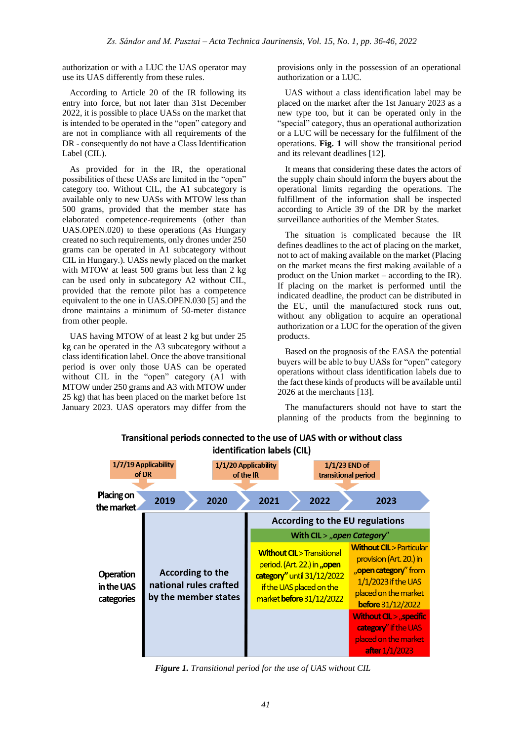authorization or with a LUC the UAS operator may use its UAS differently from these rules.

According to Article 20 of the IR following its entry into force, but not later than 31st December 2022, it is possible to place UASs on the market that is intended to be operated in the "open" category and are not in compliance with all requirements of the DR - consequently do not have a Class Identification Label (CIL).

As provided for in the IR, the operational possibilities of these UASs are limited in the "open" category too. Without CIL, the A1 subcategory is available only to new UASs with MTOW less than 500 grams, provided that the member state has elaborated competence-requirements (other than UAS.OPEN.020) to these operations (As Hungary created no such requirements, only drones under 250 grams can be operated in A1 subcategory without CIL in Hungary.). UASs newly placed on the market with MTOW at least 500 grams but less than 2 kg can be used only in subcategory A2 without CIL, provided that the remote pilot has a competence equivalent to the one in UAS.OPEN.030 [5] and the drone maintains a minimum of 50-meter distance from other people.

UAS having MTOW of at least 2 kg but under 25 kg can be operated in the A3 subcategory without a class identification label. Once the above transitional period is over only those UAS can be operated without CIL in the "open" category (A1 with MTOW under 250 grams and A3 with MTOW under 25 kg) that has been placed on the market before 1st January 2023. UAS operators may differ from the

provisions only in the possession of an operational authorization or a LUC.

UAS without a class identification label may be placed on the market after the 1st January 2023 as a new type too, but it can be operated only in the "special" category, thus an operational authorization or a LUC will be necessary for the fulfilment of the operations. **Fig. 1** will show the transitional period and its relevant deadlines [12].

It means that considering these dates the actors of the supply chain should inform the buyers about the operational limits regarding the operations. The fulfillment of the information shall be inspected according to Article 39 of the DR by the market surveillance authorities of the Member States.

The situation is complicated because the IR defines deadlines to the act of placing on the market, not to act of making available on the market (Placing on the market means the first making available of a product on the Union market – according to the IR). If placing on the market is performed until the indicated deadline, the product can be distributed in the EU, until the manufactured stock runs out, without any obligation to acquire an operational authorization or a LUC for the operation of the given products.

Based on the prognosis of the EASA the potential buyers will be able to buy UASs for "open" category operations without class identification labels due to the fact these kinds of products will be available until 2026 at the merchants [13].

The manufacturers should not have to start the planning of the products from the beginning to



# Transitional periods connected to the use of UAS with or without class identification labels (CIL)

*Figure 1. Transitional period for the use of UAS without CIL*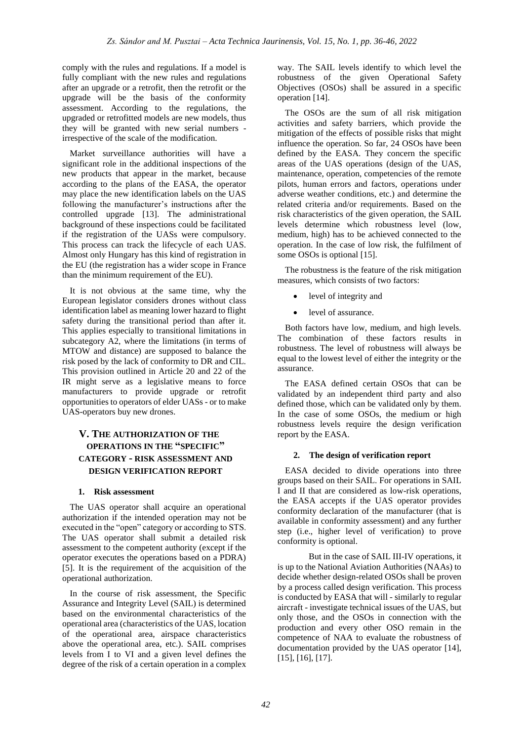comply with the rules and regulations. If a model is fully compliant with the new rules and regulations after an upgrade or a retrofit, then the retrofit or the upgrade will be the basis of the conformity assessment. According to the regulations, the upgraded or retrofitted models are new models, thus they will be granted with new serial numbers irrespective of the scale of the modification.

Market surveillance authorities will have a significant role in the additional inspections of the new products that appear in the market, because according to the plans of the EASA, the operator may place the new identification labels on the UAS following the manufacturer's instructions after the controlled upgrade [13]. The administrational background of these inspections could be facilitated if the registration of the UASs were compulsory. This process can track the lifecycle of each UAS. Almost only Hungary has this kind of registration in the EU (the registration has a wider scope in France than the minimum requirement of the EU).

It is not obvious at the same time, why the European legislator considers drones without class identification label as meaning lower hazard to flight safety during the transitional period than after it. This applies especially to transitional limitations in subcategory A2, where the limitations (in terms of MTOW and distance) are supposed to balance the risk posed by the lack of conformity to DR and CIL. This provision outlined in Article 20 and 22 of the IR might serve as a legislative means to force manufacturers to provide upgrade or retrofit opportunities to operators of elder UASs - or to make UAS-operators buy new drones.

# **V. THE AUTHORIZATION OF THE OPERATIONS IN THE "SPECIFIC" CATEGORY - RISK ASSESSMENT AND DESIGN VERIFICATION REPORT**

## **1. Risk assessment**

The UAS operator shall acquire an operational authorization if the intended operation may not be executed in the "open" category or according to STS. The UAS operator shall submit a detailed risk assessment to the competent authority (except if the operator executes the operations based on a PDRA) [5]. It is the requirement of the acquisition of the operational authorization.

In the course of risk assessment, the Specific Assurance and Integrity Level (SAIL) is determined based on the environmental characteristics of the operational area (characteristics of the UAS, location of the operational area, airspace characteristics above the operational area, etc.). SAIL comprises levels from I to VI and a given level defines the degree of the risk of a certain operation in a complex

way. The SAIL levels identify to which level the robustness of the given Operational Safety Objectives (OSOs) shall be assured in a specific operation [14].

The OSOs are the sum of all risk mitigation activities and safety barriers, which provide the mitigation of the effects of possible risks that might influence the operation. So far, 24 OSOs have been defined by the EASA. They concern the specific areas of the UAS operations (design of the UAS, maintenance, operation, competencies of the remote pilots, human errors and factors, operations under adverse weather conditions, etc.) and determine the related criteria and/or requirements. Based on the risk characteristics of the given operation, the SAIL levels determine which robustness level (low, medium, high) has to be achieved connected to the operation. In the case of low risk, the fulfilment of some OSOs is optional [15].

The robustness is the feature of the risk mitigation measures, which consists of two factors:

- level of integrity and
- level of assurance.

Both factors have low, medium, and high levels. The combination of these factors results in robustness. The level of robustness will always be equal to the lowest level of either the integrity or the assurance.

The EASA defined certain OSOs that can be validated by an independent third party and also defined those, which can be validated only by them. In the case of some OSOs, the medium or high robustness levels require the design verification report by the EASA.

## **2. The design of verification report**

EASA decided to divide operations into three groups based on their SAIL. For operations in SAIL I and II that are considered as low-risk operations, the EASA accepts if the UAS operator provides conformity declaration of the manufacturer (that is available in conformity assessment) and any further step (i.e., higher level of verification) to prove conformity is optional.

But in the case of SAIL III-IV operations, it is up to the National Aviation Authorities (NAAs) to decide whether design-related OSOs shall be proven by a process called design verification. This process is conducted by EASA that will - similarly to regular aircraft - investigate technical issues of the UAS, but only those, and the OSOs in connection with the production and every other OSO remain in the competence of NAA to evaluate the robustness of documentation provided by the UAS operator [14], [15], [16], [17].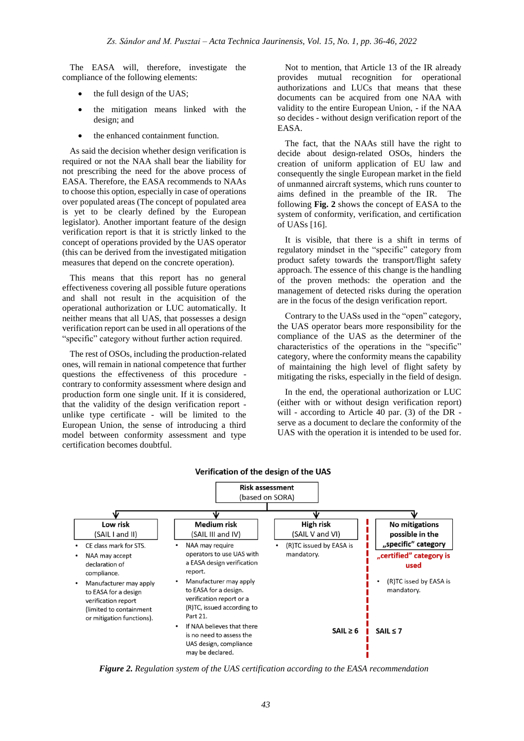The EASA will, therefore, investigate the compliance of the following elements:

- the full design of the UAS;
- the mitigation means linked with the design; and
- the enhanced containment function.

As said the decision whether design verification is required or not the NAA shall bear the liability for not prescribing the need for the above process of EASA. Therefore, the EASA recommends to NAAs to choose this option, especially in case of operations over populated areas (The concept of populated area is yet to be clearly defined by the European legislator). Another important feature of the design verification report is that it is strictly linked to the concept of operations provided by the UAS operator (this can be derived from the investigated mitigation measures that depend on the concrete operation).

This means that this report has no general effectiveness covering all possible future operations and shall not result in the acquisition of the operational authorization or LUC automatically. It neither means that all UAS, that possesses a design verification report can be used in all operations of the "specific" category without further action required.

The rest of OSOs, including the production-related ones, will remain in national competence that further questions the effectiveness of this procedure contrary to conformity assessment where design and production form one single unit. If it is considered, that the validity of the design verification report unlike type certificate - will be limited to the European Union, the sense of introducing a third model between conformity assessment and type certification becomes doubtful.

Not to mention, that Article 13 of the IR already provides mutual recognition for operational authorizations and LUCs that means that these documents can be acquired from one NAA with validity to the entire European Union, - if the NAA so decides - without design verification report of the EASA.

The fact, that the NAAs still have the right to decide about design-related OSOs, hinders the creation of uniform application of EU law and consequently the single European market in the field of unmanned aircraft systems, which runs counter to aims defined in the preamble of the IR. The following **Fig. 2** shows the concept of EASA to the system of conformity, verification, and certification of UASs [16].

It is visible, that there is a shift in terms of regulatory mindset in the "specific" category from product safety towards the transport/flight safety approach. The essence of this change is the handling of the proven methods: the operation and the management of detected risks during the operation are in the focus of the design verification report.

Contrary to the UASs used in the "open" category, the UAS operator bears more responsibility for the compliance of the UAS as the determiner of the characteristics of the operations in the "specific" category, where the conformity means the capability of maintaining the high level of flight safety by mitigating the risks, especially in the field of design.

In the end, the operational authorization or LUC (either with or without design verification report) will - according to Article 40 par. (3) of the DR serve as a document to declare the conformity of the UAS with the operation it is intended to be used for.



#### Verification of the design of the UAS

*Figure 2. Regulation system of the UAS certification according to the EASA recommendation*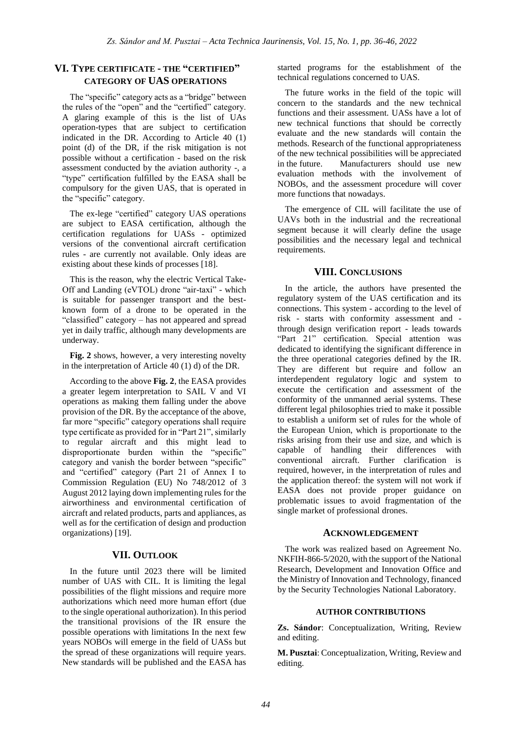# **VI. TYPE CERTIFICATE - THE "CERTIFIED" CATEGORY OF UAS OPERATIONS**

The "specific" category acts as a "bridge" between the rules of the "open" and the "certified" category. A glaring example of this is the list of UAs operation-types that are subject to certification indicated in the DR. According to Article 40 (1) point (d) of the DR, if the risk mitigation is not possible without a certification - based on the risk assessment conducted by the aviation authority -, a "type" certification fulfilled by the EASA shall be compulsory for the given UAS, that is operated in the "specific" category.

The ex-lege "certified" category UAS operations are subject to EASA certification, although the certification regulations for UASs - optimized versions of the conventional aircraft certification rules - are currently not available. Only ideas are existing about these kinds of processes [18].

This is the reason, why the electric Vertical Take-Off and Landing (eVTOL) drone "air-taxi" - which is suitable for passenger transport and the bestknown form of a drone to be operated in the "classified" category – has not appeared and spread yet in daily traffic, although many developments are underway.

**Fig. 2** shows, however, a very interesting novelty in the interpretation of Article 40 (1) d) of the DR.

According to the above **Fig. 2**, the EASA provides a greater legem interpretation to SAIL V and VI operations as making them falling under the above provision of the DR. By the acceptance of the above, far more "specific" category operations shall require type certificate as provided for in "Part 21", similarly to regular aircraft and this might lead to disproportionate burden within the "specific" category and vanish the border between "specific" and "certified" category (Part 21 of Annex I to Commission Regulation (EU) No 748/2012 of 3 August 2012 laying down implementing rules for the airworthiness and environmental certification of aircraft and related products, parts and appliances, as well as for the certification of design and production organizations) [19].

## **VII. OUTLOOK**

In the future until 2023 there will be limited number of UAS with CIL. It is limiting the legal possibilities of the flight missions and require more authorizations which need more human effort (due to the single operational authorization). In this period the transitional provisions of the IR ensure the possible operations with limitations In the next few years NOBOs will emerge in the field of UASs but the spread of these organizations will require years. New standards will be published and the EASA has

started programs for the establishment of the technical regulations concerned to UAS.

The future works in the field of the topic will concern to the standards and the new technical functions and their assessment. UASs have a lot of new technical functions that should be correctly evaluate and the new standards will contain the methods. Research of the functional appropriateness of the new technical possibilities will be appreciated in the future. Manufacturers should use new evaluation methods with the involvement of NOBOs, and the assessment procedure will cover more functions that nowadays.

The emergence of CIL will facilitate the use of UAVs both in the industrial and the recreational segment because it will clearly define the usage possibilities and the necessary legal and technical requirements.

#### **VIII. CONCLUSIONS**

In the article, the authors have presented the regulatory system of the UAS certification and its connections. This system - according to the level of risk - starts with conformity assessment and through design verification report - leads towards "Part 21" certification. Special attention was dedicated to identifying the significant difference in the three operational categories defined by the IR. They are different but require and follow an interdependent regulatory logic and system to execute the certification and assessment of the conformity of the unmanned aerial systems. These different legal philosophies tried to make it possible to establish a uniform set of rules for the whole of the European Union, which is proportionate to the risks arising from their use and size, and which is capable of handling their differences with conventional aircraft. Further clarification is required, however, in the interpretation of rules and the application thereof: the system will not work if EASA does not provide proper guidance on problematic issues to avoid fragmentation of the single market of professional drones.

#### **ACKNOWLEDGEMENT**

The work was realized based on Agreement No. NKFIH-866-5/2020, with the support of the National Research, Development and Innovation Office and the Ministry of Innovation and Technology, financed by the Security Technologies National Laboratory.

#### **AUTHOR CONTRIBUTIONS**

**Zs. Sándor**: Conceptualization, Writing, Review and editing.

**M. Pusztai**: Conceptualization, Writing, Review and editing.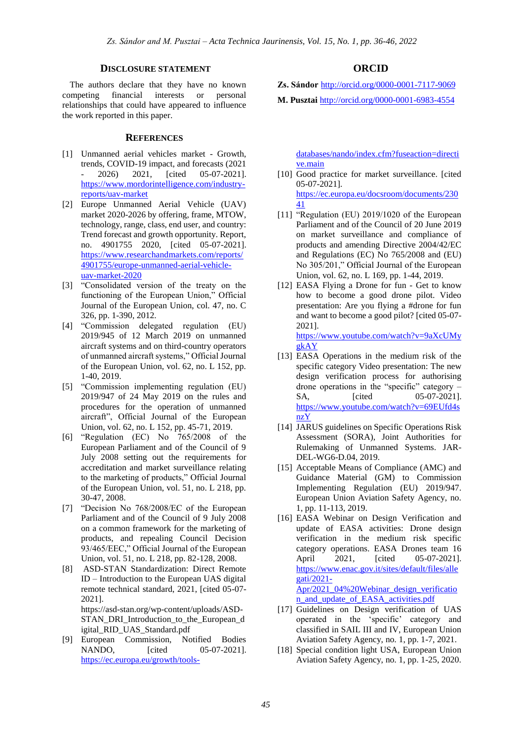## **DISCLOSURE STATEMENT**

The authors declare that they have no known competing financial interests or personal relationships that could have appeared to influence the work reported in this paper.

### **REFERENCES**

- [1] Unmanned aerial vehicles market Growth, trends, COVID-19 impact, and forecasts (2021 2026) 2021, [cited 05-07-2021]. [https://www.mordorintelligence.com/industry](https://www.mordorintelligence.com/industry-reports/uav-market)[reports/uav-market](https://www.mordorintelligence.com/industry-reports/uav-market)
- [2] Europe Unmanned Aerial Vehicle (UAV) market 2020-2026 by offering, frame, MTOW, technology, range, class, end user, and country: Trend forecast and growth opportunity. Report, no. 4901755 2020, [cited 05-07-2021]. [https://www.researchandmarkets.com/reports/](https://www.researchandmarkets.com/reports/4901755/europe-unmanned-aerial-vehicle-uav-market-2020) [4901755/europe-unmanned-aerial-vehicle](https://www.researchandmarkets.com/reports/4901755/europe-unmanned-aerial-vehicle-uav-market-2020)[uav-market-2020](https://www.researchandmarkets.com/reports/4901755/europe-unmanned-aerial-vehicle-uav-market-2020)
- [3] "Consolidated version of the treaty on the functioning of the European Union," Official Journal of the European Union, col. 47, no. C 326, pp. 1-390, 2012.
- [4] "Commission delegated regulation (EU) 2019/945 of 12 March 2019 on unmanned aircraft systems and on third-country operators of unmanned aircraft systems," Official Journal of the European Union, vol. 62, no. L 152, pp. 1-40, 2019.
- [5] "Commission implementing regulation (EU) 2019/947 of 24 May 2019 on the rules and procedures for the operation of unmanned aircraft", Official Journal of the European Union, vol. 62, no. L 152, pp. 45-71, 2019.
- [6] "Regulation (EC) No 765/2008 of the European Parliament and of the Council of 9 July 2008 setting out the requirements for accreditation and market surveillance relating to the marketing of products," Official Journal of the European Union, vol. 51, no. L 218, pp. 30-47, 2008.
- [7] "Decision No 768/2008/EC of the European Parliament and of the Council of 9 July 2008 on a common framework for the marketing of products, and repealing Council Decision 93/465/EEC," Official Journal of the European Union, vol. 51, no. L 218, pp. 82-128, 2008.
- [8] ASD-STAN Standardization: Direct Remote ID – Introduction to the European UAS digital remote technical standard, 2021, [cited 05-07- 2021].

[https://asd-stan.org/wp-content/uploads/ASD-](https://asd-stan.org/wp-content/uploads/ASD-STAN_DRI_Introduction_to_the_European_digital_RID_UAS_Standard.pdf)[STAN\\_DRI\\_Introduction\\_to\\_the\\_European\\_d](https://asd-stan.org/wp-content/uploads/ASD-STAN_DRI_Introduction_to_the_European_digital_RID_UAS_Standard.pdf) [igital\\_RID\\_UAS\\_Standard.pdf](https://asd-stan.org/wp-content/uploads/ASD-STAN_DRI_Introduction_to_the_European_digital_RID_UAS_Standard.pdf)

[9] European Commission, Notified Bodies NANDO, [cited 05-07-2021]. [https://ec.europa.eu/growth/tools-](https://ec.europa.eu/growth/tools-databases/nando/index.cfm?fuseaction=directive.main)

## **ORCID**

**Zs. Sándor** <http://orcid.org/0000-0001-7117-9069>

**M. Pusztai** [http://orcid.org/0000-0001-6983-4554](http://orcid.org/0000-0000-0000-0000)

[databases/nando/index.cfm?fuseaction=directi](https://ec.europa.eu/growth/tools-databases/nando/index.cfm?fuseaction=directive.main) [ve.main](https://ec.europa.eu/growth/tools-databases/nando/index.cfm?fuseaction=directive.main)

- [10] Good practice for market surveillance. [cited 05-07-2021]. [https://ec.europa.eu/docsroom/documents/230](https://ec.europa.eu/docsroom/documents/23041) [41](https://ec.europa.eu/docsroom/documents/23041)
- [11] "Regulation (EU) 2019/1020 of the European Parliament and of the Council of 20 June 2019 on market surveillance and compliance of products and amending Directive 2004/42/EC and Regulations (EC) No 765/2008 and (EU) No 305/201," Official Journal of the European Union, vol. 62, no. L 169, pp. 1-44, 2019.
- [12] EASA Flying a Drone for fun Get to know how to become a good drone pilot. Video presentation: Are you flying a #drone for fun and want to become a good pilot? [cited 05-07- 2021].

[https://www.youtube.com/watch?v=9aXcUMy](https://www.youtube.com/watch?v=9aXcUMygkAY) [gkAY](https://www.youtube.com/watch?v=9aXcUMygkAY)

- [13] EASA Operations in the medium risk of the specific category Video presentation: The new design verification process for authorising drone operations in the "specific" category – SA, [cited 05-07-2021]. [https://www.youtube.com/watch?v=69EUfd4s](https://www.youtube.com/watch?v=69EUfd4snzY) [nzY](https://www.youtube.com/watch?v=69EUfd4snzY)
- [14] JARUS guidelines on Specific Operations Risk Assessment (SORA), Joint Authorities for Rulemaking of Unmanned Systems. JAR-DEL-WG6-D.04, 2019.
- [15] Acceptable Means of Compliance (AMC) and Guidance Material (GM) to Commission Implementing Regulation (EU) 2019/947. European Union Aviation Safety Agency, no. 1, pp. 11-113, 2019.
- [16] EASA Webinar on Design Verification and update of EASA activities: Drone design verification in the medium risk specific category operations. EASA Drones team 16 April 2021, [cited 05-07-2021]. [https://www.enac.gov.it/sites/default/files/alle](https://www.enac.gov.it/sites/default/files/allegati/2021-Apr/2021_04%20Webinar_design_verification_and_update_of_EASA_activities.pdf) [gati/2021-](https://www.enac.gov.it/sites/default/files/allegati/2021-Apr/2021_04%20Webinar_design_verification_and_update_of_EASA_activities.pdf) [Apr/2021\\_04%20Webinar\\_design\\_verificatio](https://www.enac.gov.it/sites/default/files/allegati/2021-Apr/2021_04%20Webinar_design_verification_and_update_of_EASA_activities.pdf) n and update of EASA activities.pdf
- [17] Guidelines on Design verification of UAS operated in the 'specific' category and classified in SAIL III and IV, European Union Aviation Safety Agency, no. 1, pp. 1-7, 2021.
- [18] Special condition light USA, European Union Aviation Safety Agency, no. 1, pp. 1-25, 2020.